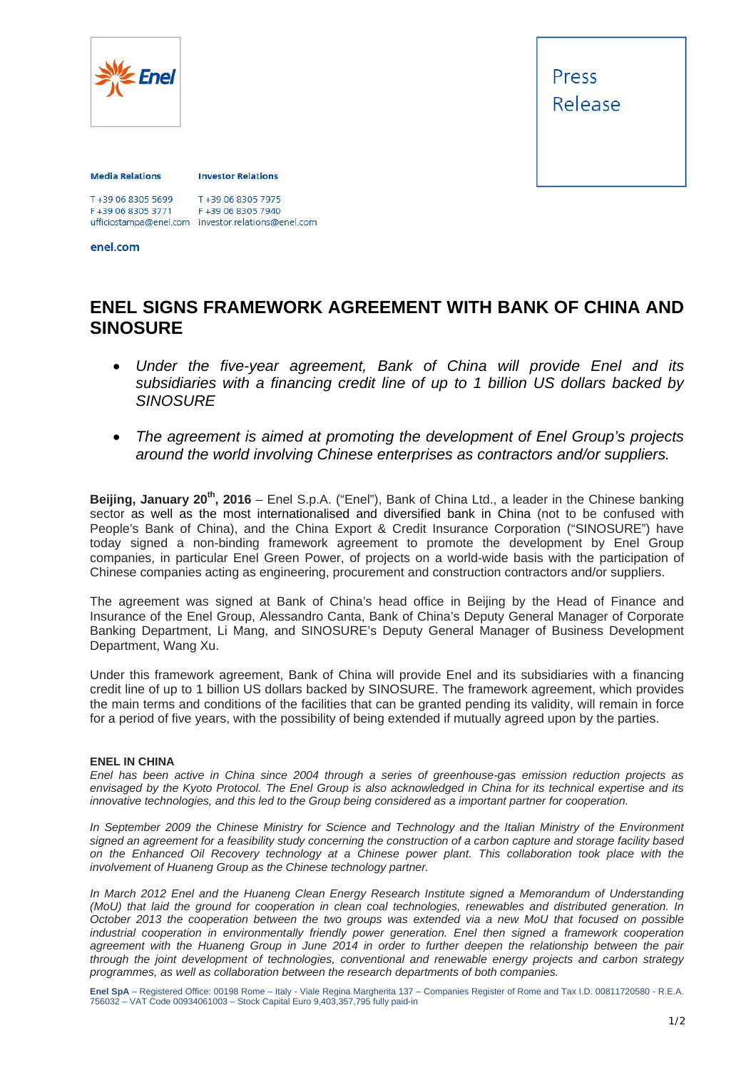

Press Release

## **Media Relations**

## **Investor Relations**

T+39 06 8305 7975 F+39 06 8305 3771 F+39 06 8305 7940 ufficiostampa@enel.com investor.relations@enel.com<br>enel.com

## **ENEL SIGNS FRAMEWORK AGREEMENT WITH BANK OF CHINA AND SINOSURE**

- *Under the five-year agreement, Bank of China will provide Enel and its subsidiaries with a financing credit line of up to 1 billion US dollars backed by SINOSURE*
- *The agreement is aimed at promoting the development of Enel Group's projects around the world involving Chinese enterprises as contractors and/or suppliers.*

**Beijing, January 20<sup>th</sup>, 2016** – Enel S.p.A. ("Enel"), Bank of China Ltd., a leader in the Chinese banking sector as well as the most internationalised and diversified bank in China (not to be confused with People's Bank of China), and the China Export & Credit Insurance Corporation ("SINOSURE") have today signed a non-binding framework agreement to promote the development by Enel Group companies, in particular Enel Green Power, of projects on a world-wide basis with the participation of Chinese companies acting as engineering, procurement and construction contractors and/or suppliers.

The agreement was signed at Bank of China's head office in Beijing by the Head of Finance and Insurance of the Enel Group, Alessandro Canta, Bank of China's Deputy General Manager of Corporate Banking Department, Li Mang, and SINOSURE's Deputy General Manager of Business Development Department, Wang Xu.

Under this framework agreement, Bank of China will provide Enel and its subsidiaries with a financing credit line of up to 1 billion US dollars backed by SINOSURE. The framework agreement, which provides the main terms and conditions of the facilities that can be granted pending its validity, will remain in force for a period of five years, with the possibility of being extended if mutually agreed upon by the parties.

## **ENEL IN CHINA**

*Enel has been active in China since 2004 through a series of greenhouse-gas emission reduction projects as envisaged by the Kyoto Protocol. The Enel Group is also acknowledged in China for its technical expertise and its innovative technologies, and this led to the Group being considered as a important partner for cooperation.* 

*In September 2009 the Chinese Ministry for Science and Technology and the Italian Ministry of the Environment signed an agreement for a feasibility study concerning the construction of a carbon capture and storage facility based on the Enhanced Oil Recovery technology at a Chinese power plant. This collaboration took place with the involvement of Huaneng Group as the Chinese technology partner.* 

*In March 2012 Enel and the Huaneng Clean Energy Research Institute signed a Memorandum of Understanding (MoU) that laid the ground for cooperation in clean coal technologies, renewables and distributed generation. In October 2013 the cooperation between the two groups was extended via a new MoU that focused on possible industrial cooperation in environmentally friendly power generation. Enel then signed a framework cooperation agreement with the Huaneng Group in June 2014 in order to further deepen the relationship between the pair through the joint development of technologies, conventional and renewable energy projects and carbon strategy programmes, as well as collaboration between the research departments of both companies.* 

**Enel SpA** – Registered Office: 00198 Rome – Italy - Viale Regina Margherita 137 – Companies Register of Rome and Tax I.D. 00811720580 - R.E.A. 756032 – VAT Code 00934061003 – Stock Capital Euro 9,403,357,795 fully paid-in